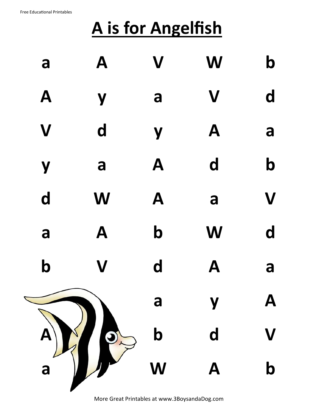## **A is for Angelfish**

| a           | A                         | $\mathbf V$               | W                         | $\mathbf b$             |
|-------------|---------------------------|---------------------------|---------------------------|-------------------------|
| A           | Y                         | a                         | $\boldsymbol{\mathsf{V}}$ | $\mathbf d$             |
| V           | $\mathbf d$               | Y                         | A                         | a                       |
| Y           | a                         | A                         | $\mathbf d$               | $\mathbf b$             |
| d           | W                         | $\mathbf{A}$              | a                         | $\overline{\mathsf{V}}$ |
| a           | A                         | $\mathbf b$               | W                         | $\mathbf d$             |
| $\mathbf b$ | $\boldsymbol{\mathsf{V}}$ | d                         | A                         | a                       |
|             |                           | a                         |                           | A                       |
| $\bigcirc$  |                           | $\boldsymbol{b}$          | d                         |                         |
| a           |                           | $\boldsymbol{\mathsf{W}}$ | Ą                         | $\boldsymbol{\beta}$    |
|             |                           |                           |                           |                         |

More Great Printables at www.3BoysandaDog.com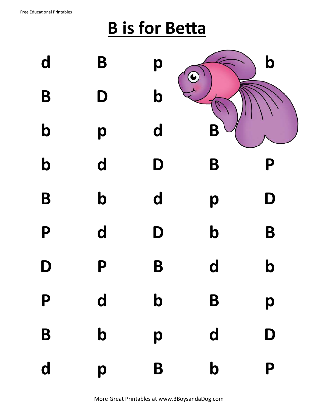## **B is for Betta**

| d           | B           | p                |             | $\mathbf b$               |
|-------------|-------------|------------------|-------------|---------------------------|
| B           | D           | $\boldsymbol{b}$ |             |                           |
| $\mathbf b$ | p           | d                |             |                           |
| $\mathbf b$ | d           | D                | B           | P                         |
| B           | $\mathbf b$ | d                | p           | D                         |
| P           | d           | D                | $\mathbf b$ | B                         |
| D           | P           | B                | $\mathbf d$ | $\boldsymbol{\mathsf{b}}$ |
| P           | d           | $\mathbf b$      | B           | p                         |
| B           | $\mathbf b$ | p                | d           | D                         |
| d           | p           | B                | $\mathbf b$ | P                         |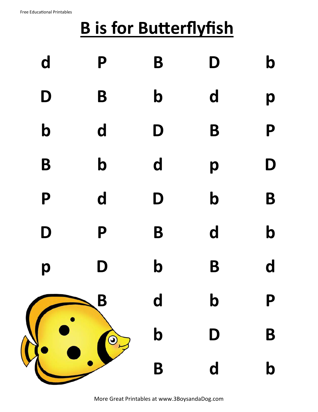## **B is for Butterflyfish**

| $\mathbf d$ | P           | B                | D                       | $\mathbf b$               |
|-------------|-------------|------------------|-------------------------|---------------------------|
| D           | B           | $\mathbf b$      | d                       | p                         |
| $\mathbf b$ | d           | D                | B                       | P                         |
| B           | $\mathbf b$ | d                | p                       | D                         |
| P           | d           | D                | $\mathbf b$             | B                         |
| D           | P           | B                | d                       | $\mathbf b$               |
| p           | D           | $\mathbf b$      | B                       | $\mathbf d$               |
|             | B           | d                | $\mathbf b$             | P                         |
|             | $\bigcirc$  | $\boldsymbol{b}$ | D                       | B                         |
|             |             | B                | $\overline{\mathbf{d}}$ | $\boldsymbol{\mathsf{b}}$ |